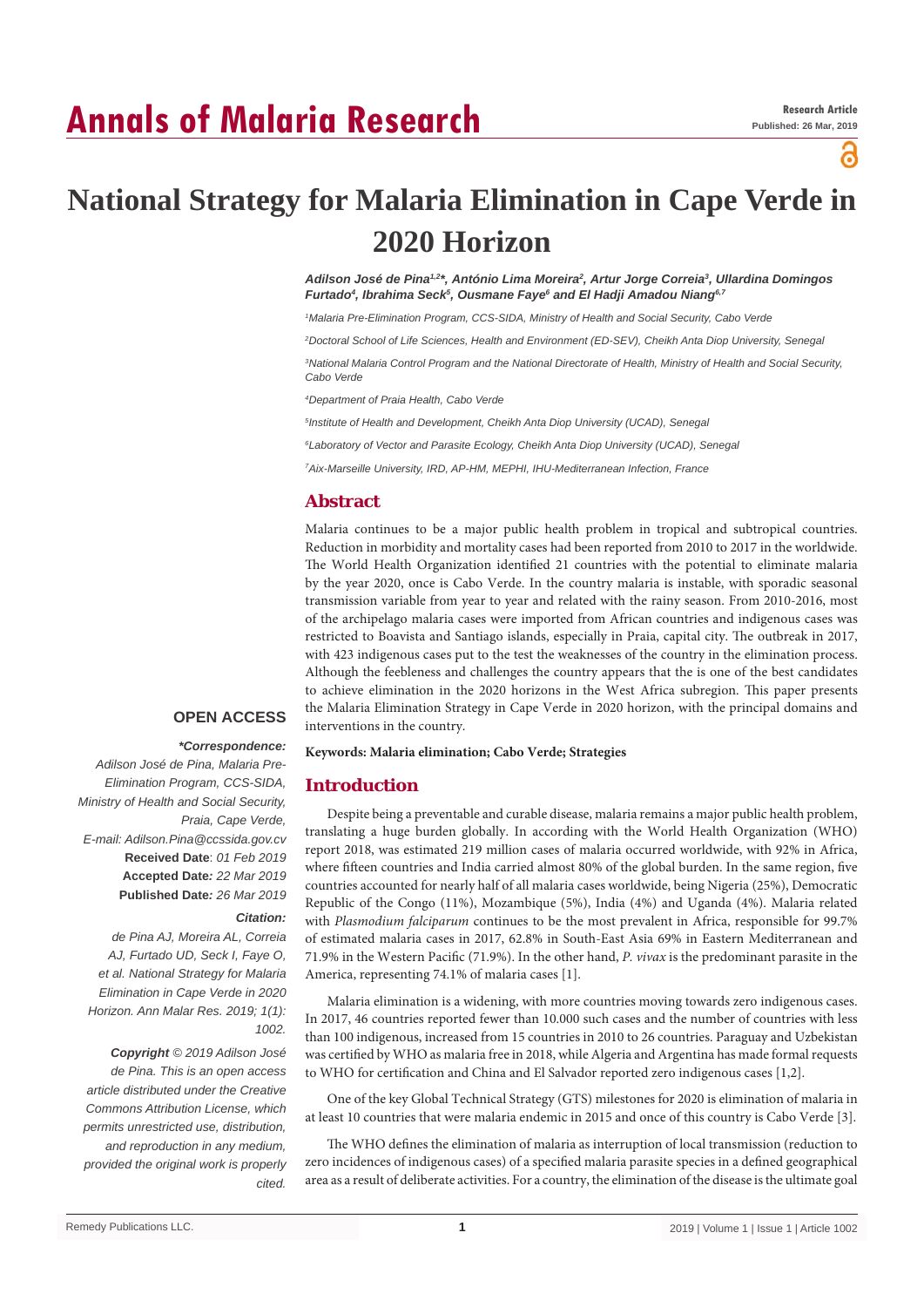# **Annals of Malaria Research**

a

# **National Strategy for Malaria Elimination in Cape Verde in 2020 Horizon**

*Adilson José de Pina1,2\*, António Lima Moreira2 , Artur Jorge Correia3 , Ullardina Domingos Furtado4 , Ibrahima Seck5 , Ousmane Faye6 and El Hadji Amadou Niang6,7*

*1 Malaria Pre-Elimination Program, CCS-SIDA, Ministry of Health and Social Security, Cabo Verde*

*2 Doctoral School of Life Sciences, Health and Environment (ED-SEV), Cheikh Anta Diop University, Senegal*

*3 National Malaria Control Program and the National Directorate of Health, Ministry of Health and Social Security, Cabo Verde*

*4 Department of Praia Health, Cabo Verde*

*5 Institute of Health and Development, Cheikh Anta Diop University (UCAD), Senegal*

*6 Laboratory of Vector and Parasite Ecology, Cheikh Anta Diop University (UCAD), Senegal*

*7 Aix-Marseille University, IRD, AP-HM, MEPHI, IHU-Mediterranean Infection, France*

# **Abstract**

Malaria continues to be a major public health problem in tropical and subtropical countries. Reduction in morbidity and mortality cases had been reported from 2010 to 2017 in the worldwide. The World Health Organization identified 21 countries with the potential to eliminate malaria by the year 2020, once is Cabo Verde. In the country malaria is instable, with sporadic seasonal transmission variable from year to year and related with the rainy season. From 2010-2016, most of the archipelago malaria cases were imported from African countries and indigenous cases was restricted to Boavista and Santiago islands, especially in Praia, capital city. The outbreak in 2017, with 423 indigenous cases put to the test the weaknesses of the country in the elimination process. Although the feebleness and challenges the country appears that the is one of the best candidates to achieve elimination in the 2020 horizons in the West Africa subregion. This paper presents the Malaria Elimination Strategy in Cape Verde in 2020 horizon, with the principal domains and interventions in the country.

## **OPEN ACCESS**

## *\*Correspondence:*

*Adilson José de Pina, Malaria Pre-Elimination Program, CCS-SIDA, Ministry of Health and Social Security, Praia, Cape Verde, E-mail: Adilson.Pina@ccssida.gov.cv* **Received Date**: *01 Feb 2019* **Accepted Date***: 22 Mar 2019* **Published Date***: 26 Mar 2019*

#### *Citation:*

*de Pina AJ, Moreira AL, Correia AJ, Furtado UD, Seck I, Faye O, et al. National Strategy for Malaria Elimination in Cape Verde in 2020 Horizon. Ann Malar Res. 2019; 1(1): 1002.*

*Copyright © 2019 Adilson José de Pina. This is an open access article distributed under the Creative Commons Attribution License, which permits unrestricted use, distribution, and reproduction in any medium, provided the original work is properly cited.*

**Keywords: Malaria elimination; Cabo Verde; Strategies**

#### **Introduction**

Despite being a preventable and curable disease, malaria remains a major public health problem, translating a huge burden globally. In according with the World Health Organization (WHO) report 2018, was estimated 219 million cases of malaria occurred worldwide, with 92% in Africa, where fifteen countries and India carried almost 80% of the global burden. In the same region, five countries accounted for nearly half of all malaria cases worldwide, being Nigeria (25%), Democratic Republic of the Congo (11%), Mozambique (5%), India (4%) and Uganda (4%). Malaria related with *Plasmodium falciparum* continues to be the most prevalent in Africa, responsible for 99.7% of estimated malaria cases in 2017, 62.8% in South-East Asia 69% in Eastern Mediterranean and 71.9% in the Western Pacific (71.9%). In the other hand, *P. vivax* is the predominant parasite in the America, representing 74.1% of malaria cases [1].

Malaria elimination is a widening, with more countries moving towards zero indigenous cases. In 2017, 46 countries reported fewer than 10.000 such cases and the number of countries with less than 100 indigenous, increased from 15 countries in 2010 to 26 countries. Paraguay and Uzbekistan was certified by WHO as malaria free in 2018, while Algeria and Argentina has made formal requests to WHO for certification and China and El Salvador reported zero indigenous cases [1,2].

One of the key Global Technical Strategy (GTS) milestones for 2020 is elimination of malaria in at least 10 countries that were malaria endemic in 2015 and once of this country is Cabo Verde [3].

The WHO defines the elimination of malaria as interruption of local transmission (reduction to zero incidences of indigenous cases) of a specified malaria parasite species in a defined geographical area as a result of deliberate activities. For a country, the elimination of the disease is the ultimate goal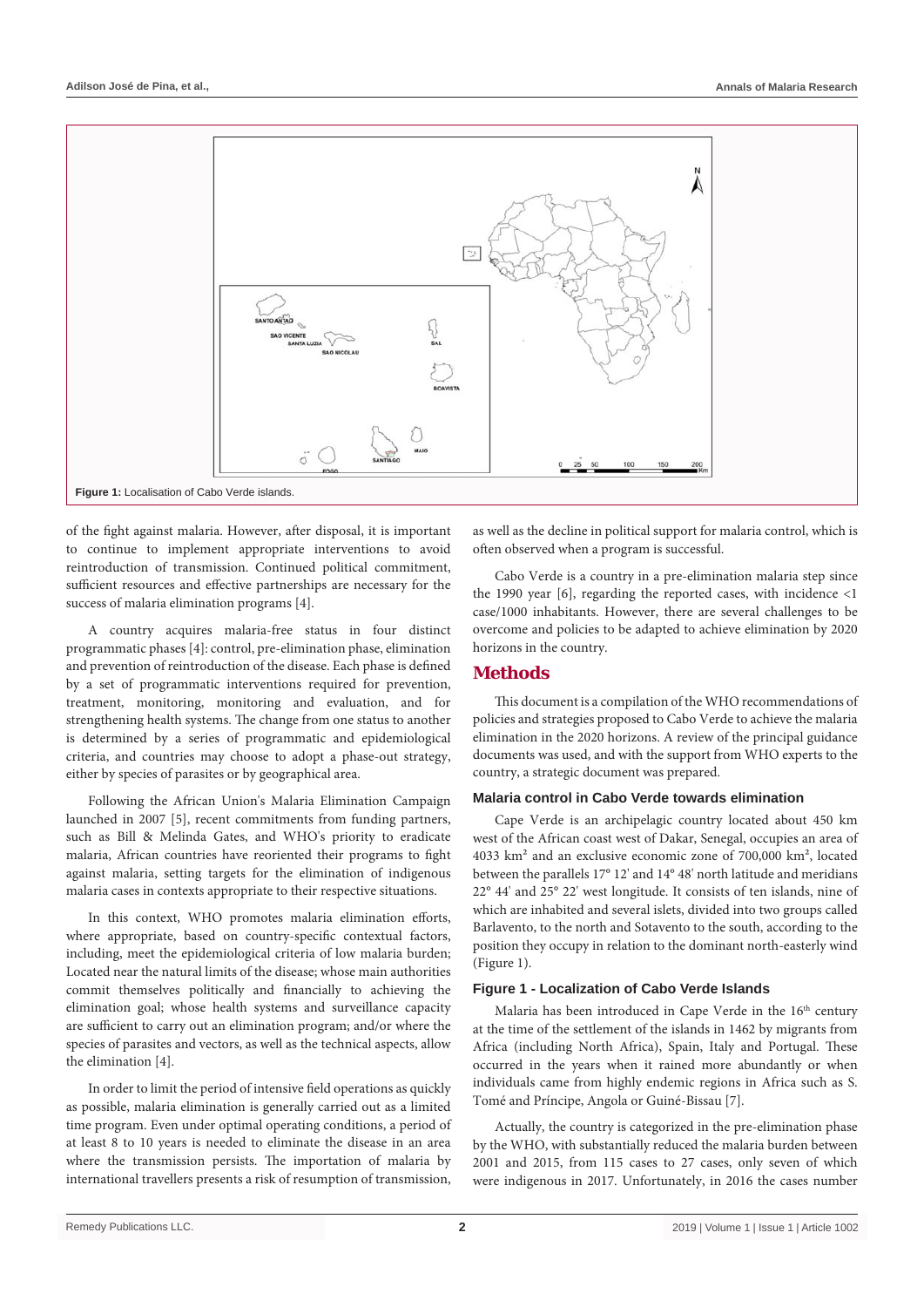

of the fight against malaria. However, after disposal, it is important to continue to implement appropriate interventions to avoid reintroduction of transmission. Continued political commitment, sufficient resources and effective partnerships are necessary for the success of malaria elimination programs [4].

A country acquires malaria-free status in four distinct programmatic phases [4]: control, pre-elimination phase, elimination and prevention of reintroduction of the disease. Each phase is defined by a set of programmatic interventions required for prevention, treatment, monitoring, monitoring and evaluation, and for strengthening health systems. The change from one status to another is determined by a series of programmatic and epidemiological criteria, and countries may choose to adopt a phase-out strategy, either by species of parasites or by geographical area.

Following the African Union's Malaria Elimination Campaign launched in 2007 [5], recent commitments from funding partners, such as Bill & Melinda Gates, and WHO's priority to eradicate malaria, African countries have reoriented their programs to fight against malaria, setting targets for the elimination of indigenous malaria cases in contexts appropriate to their respective situations.

In this context, WHO promotes malaria elimination efforts, where appropriate, based on country-specific contextual factors, including, meet the epidemiological criteria of low malaria burden; Located near the natural limits of the disease; whose main authorities commit themselves politically and financially to achieving the elimination goal; whose health systems and surveillance capacity are sufficient to carry out an elimination program; and/or where the species of parasites and vectors, as well as the technical aspects, allow the elimination [4].

In order to limit the period of intensive field operations as quickly as possible, malaria elimination is generally carried out as a limited time program. Even under optimal operating conditions, a period of at least 8 to 10 years is needed to eliminate the disease in an area where the transmission persists. The importation of malaria by international travellers presents a risk of resumption of transmission, as well as the decline in political support for malaria control, which is often observed when a program is successful.

Cabo Verde is a country in a pre-elimination malaria step since the 1990 year [6], regarding the reported cases, with incidence <1 case/1000 inhabitants. However, there are several challenges to be overcome and policies to be adapted to achieve elimination by 2020 horizons in the country.

# **Methods**

This document is a compilation of the WHO recommendations of policies and strategies proposed to Cabo Verde to achieve the malaria elimination in the 2020 horizons. A review of the principal guidance documents was used, and with the support from WHO experts to the country, a strategic document was prepared.

## **Malaria control in Cabo Verde towards elimination**

Cape Verde is an archipelagic country located about 450 km west of the African coast west of Dakar, Senegal, occupies an area of 4033 km² and an exclusive economic zone of 700,000 km², located between the parallels 17° 12' and 14° 48' north latitude and meridians 22° 44' and 25° 22' west longitude. It consists of ten islands, nine of which are inhabited and several islets, divided into two groups called Barlavento, to the north and Sotavento to the south, according to the position they occupy in relation to the dominant north-easterly wind (Figure 1).

## **Figure 1 - Localization of Cabo Verde Islands**

Malaria has been introduced in Cape Verde in the 16<sup>th</sup> century at the time of the settlement of the islands in 1462 by migrants from Africa (including North Africa), Spain, Italy and Portugal. These occurred in the years when it rained more abundantly or when individuals came from highly endemic regions in Africa such as S. Tomé and Príncipe, Angola or Guiné-Bissau [7].

Actually, the country is categorized in the pre-elimination phase by the WHO, with substantially reduced the malaria burden between 2001 and 2015, from 115 cases to 27 cases, only seven of which were indigenous in 2017. Unfortunately, in 2016 the cases number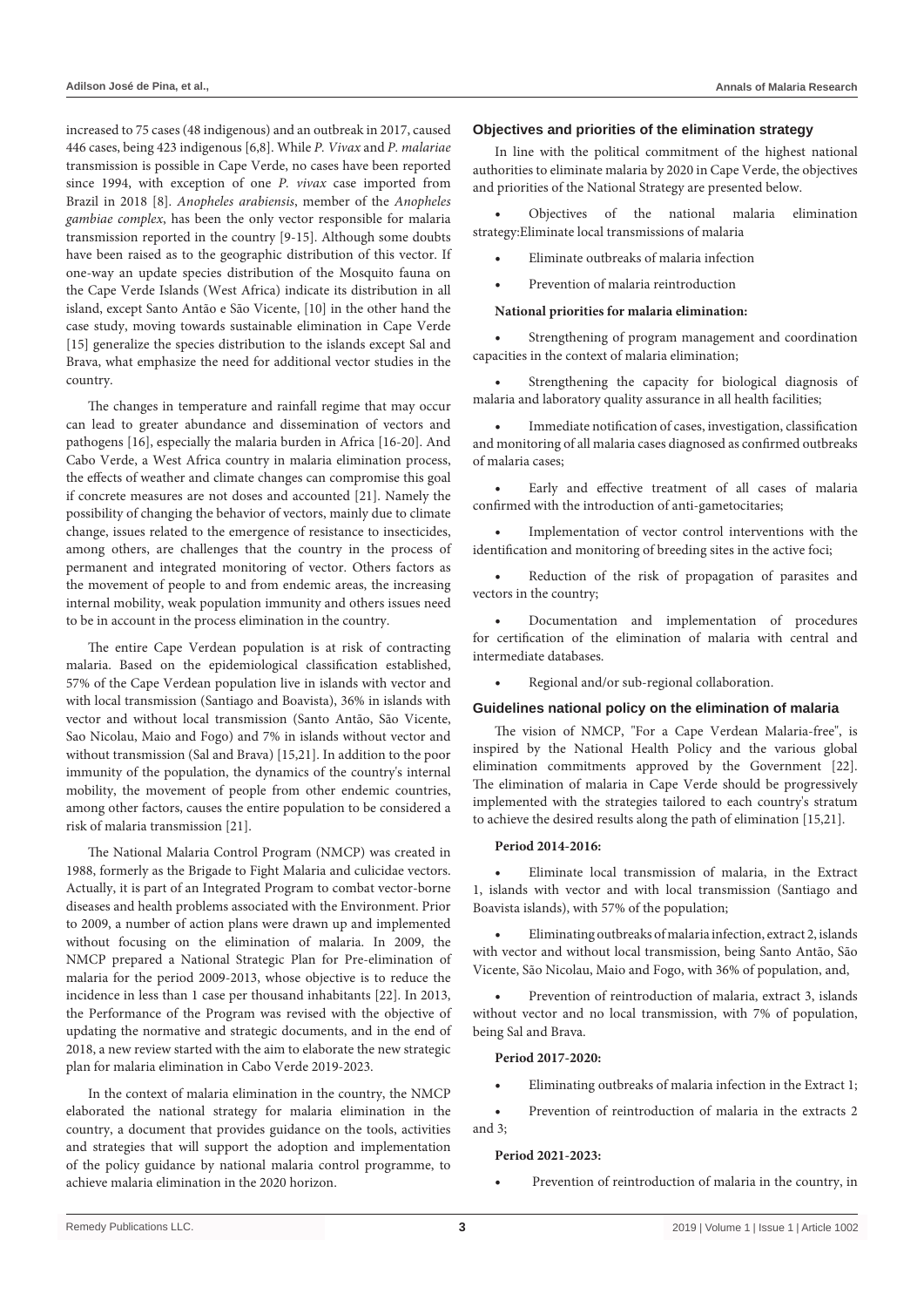increased to 75 cases (48 indigenous) and an outbreak in 2017, caused 446 cases, being 423 indigenous [6,8]. While *P. Vivax* and *P. malariae* transmission is possible in Cape Verde, no cases have been reported since 1994, with exception of one *P. vivax* case imported from Brazil in 2018 [8]. *Anopheles arabiensis*, member of the *Anopheles gambiae complex*, has been the only vector responsible for malaria transmission reported in the country [9-15]. Although some doubts have been raised as to the geographic distribution of this vector. If one-way an update species distribution of the Mosquito fauna on the Cape Verde Islands (West Africa) indicate its distribution in all island, except Santo Antão e São Vicente, [10] in the other hand the case study, moving towards sustainable elimination in Cape Verde [15] generalize the species distribution to the islands except Sal and Brava, what emphasize the need for additional vector studies in the country.

The changes in temperature and rainfall regime that may occur can lead to greater abundance and dissemination of vectors and pathogens [16], especially the malaria burden in Africa [16-20]. And Cabo Verde, a West Africa country in malaria elimination process, the effects of weather and climate changes can compromise this goal if concrete measures are not doses and accounted [21]. Namely the possibility of changing the behavior of vectors, mainly due to climate change, issues related to the emergence of resistance to insecticides, among others, are challenges that the country in the process of permanent and integrated monitoring of vector. Others factors as the movement of people to and from endemic areas, the increasing internal mobility, weak population immunity and others issues need to be in account in the process elimination in the country.

The entire Cape Verdean population is at risk of contracting malaria. Based on the epidemiological classification established, 57% of the Cape Verdean population live in islands with vector and with local transmission (Santiago and Boavista), 36% in islands with vector and without local transmission (Santo Antão, São Vicente, Sao Nicolau, Maio and Fogo) and 7% in islands without vector and without transmission (Sal and Brava) [15,21]. In addition to the poor immunity of the population, the dynamics of the country's internal mobility, the movement of people from other endemic countries, among other factors, causes the entire population to be considered a risk of malaria transmission [21].

The National Malaria Control Program (NMCP) was created in 1988, formerly as the Brigade to Fight Malaria and culicidae vectors. Actually, it is part of an Integrated Program to combat vector-borne diseases and health problems associated with the Environment. Prior to 2009, a number of action plans were drawn up and implemented without focusing on the elimination of malaria. In 2009, the NMCP prepared a National Strategic Plan for Pre-elimination of malaria for the period 2009-2013, whose objective is to reduce the incidence in less than 1 case per thousand inhabitants [22]. In 2013, the Performance of the Program was revised with the objective of updating the normative and strategic documents, and in the end of 2018, a new review started with the aim to elaborate the new strategic plan for malaria elimination in Cabo Verde 2019-2023.

In the context of malaria elimination in the country, the NMCP elaborated the national strategy for malaria elimination in the country, a document that provides guidance on the tools, activities and strategies that will support the adoption and implementation of the policy guidance by national malaria control programme, to achieve malaria elimination in the 2020 horizon.

#### **Objectives and priorities of the elimination strategy**

In line with the political commitment of the highest national authorities to eliminate malaria by 2020 in Cape Verde, the objectives and priorities of the National Strategy are presented below.

Objectives of the national malaria elimination strategy:Eliminate local transmissions of malaria

Eliminate outbreaks of malaria infection

Prevention of malaria reintroduction

#### **National priorities for malaria elimination:**

Strengthening of program management and coordination capacities in the context of malaria elimination;

Strengthening the capacity for biological diagnosis of malaria and laboratory quality assurance in all health facilities;

Immediate notification of cases, investigation, classification and monitoring of all malaria cases diagnosed as confirmed outbreaks of malaria cases;

Early and effective treatment of all cases of malaria confirmed with the introduction of anti-gametocitaries;

Implementation of vector control interventions with the identification and monitoring of breeding sites in the active foci;

Reduction of the risk of propagation of parasites and vectors in the country;

Documentation and implementation of procedures for certification of the elimination of malaria with central and intermediate databases.

Regional and/or sub-regional collaboration.

#### **Guidelines national policy on the elimination of malaria**

The vision of NMCP, "For a Cape Verdean Malaria-free", is inspired by the National Health Policy and the various global elimination commitments approved by the Government [22]. The elimination of malaria in Cape Verde should be progressively implemented with the strategies tailored to each country's stratum to achieve the desired results along the path of elimination [15,21].

## **Period 2014-2016:**

Eliminate local transmission of malaria, in the Extract 1, islands with vector and with local transmission (Santiago and Boavista islands), with 57% of the population;

Eliminating outbreaks of malaria infection, extract 2, islands with vector and without local transmission, being Santo Antão, São Vicente, São Nicolau, Maio and Fogo, with 36% of population, and,

Prevention of reintroduction of malaria, extract 3, islands without vector and no local transmission, with 7% of population, being Sal and Brava.

#### **Period 2017-2020:**

Eliminating outbreaks of malaria infection in the Extract 1;

• Prevention of reintroduction of malaria in the extracts 2 and 3;

## **Period 2021-2023:**

Prevention of reintroduction of malaria in the country, in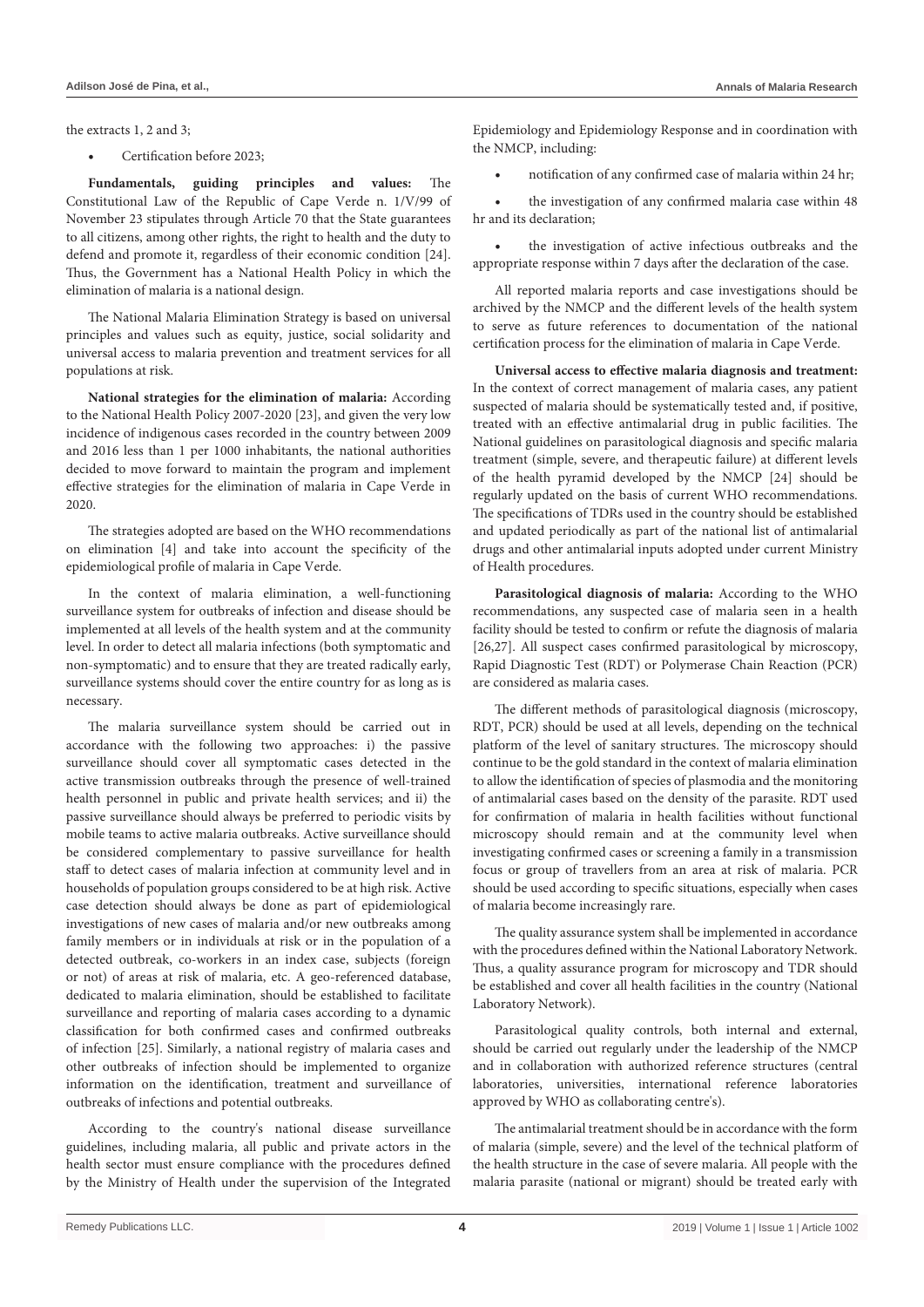the extracts 1, 2 and 3;

Certification before 2023;

**Fundamentals, guiding principles and values:** The Constitutional Law of the Republic of Cape Verde n. 1/V/99 of November 23 stipulates through Article 70 that the State guarantees to all citizens, among other rights, the right to health and the duty to defend and promote it, regardless of their economic condition [24]. Thus, the Government has a National Health Policy in which the elimination of malaria is a national design.

The National Malaria Elimination Strategy is based on universal principles and values such as equity, justice, social solidarity and universal access to malaria prevention and treatment services for all populations at risk.

**National strategies for the elimination of malaria:** According to the National Health Policy 2007-2020 [23], and given the very low incidence of indigenous cases recorded in the country between 2009 and 2016 less than 1 per 1000 inhabitants, the national authorities decided to move forward to maintain the program and implement effective strategies for the elimination of malaria in Cape Verde in 2020.

The strategies adopted are based on the WHO recommendations on elimination [4] and take into account the specificity of the epidemiological profile of malaria in Cape Verde.

In the context of malaria elimination, a well-functioning surveillance system for outbreaks of infection and disease should be implemented at all levels of the health system and at the community level. In order to detect all malaria infections (both symptomatic and non-symptomatic) and to ensure that they are treated radically early, surveillance systems should cover the entire country for as long as is necessary.

The malaria surveillance system should be carried out in accordance with the following two approaches: i) the passive surveillance should cover all symptomatic cases detected in the active transmission outbreaks through the presence of well-trained health personnel in public and private health services; and ii) the passive surveillance should always be preferred to periodic visits by mobile teams to active malaria outbreaks. Active surveillance should be considered complementary to passive surveillance for health staff to detect cases of malaria infection at community level and in households of population groups considered to be at high risk. Active case detection should always be done as part of epidemiological investigations of new cases of malaria and/or new outbreaks among family members or in individuals at risk or in the population of a detected outbreak, co-workers in an index case, subjects (foreign or not) of areas at risk of malaria, etc. A geo-referenced database, dedicated to malaria elimination, should be established to facilitate surveillance and reporting of malaria cases according to a dynamic classification for both confirmed cases and confirmed outbreaks of infection [25]. Similarly, a national registry of malaria cases and other outbreaks of infection should be implemented to organize information on the identification, treatment and surveillance of outbreaks of infections and potential outbreaks.

According to the country's national disease surveillance guidelines, including malaria, all public and private actors in the health sector must ensure compliance with the procedures defined by the Ministry of Health under the supervision of the Integrated Epidemiology and Epidemiology Response and in coordination with the NMCP, including:

notification of any confirmed case of malaria within 24 hr;

• the investigation of any confirmed malaria case within 48 hr and its declaration;

the investigation of active infectious outbreaks and the appropriate response within 7 days after the declaration of the case.

All reported malaria reports and case investigations should be archived by the NMCP and the different levels of the health system to serve as future references to documentation of the national certification process for the elimination of malaria in Cape Verde.

**Universal access to effective malaria diagnosis and treatment:** In the context of correct management of malaria cases, any patient suspected of malaria should be systematically tested and, if positive, treated with an effective antimalarial drug in public facilities. The National guidelines on parasitological diagnosis and specific malaria treatment (simple, severe, and therapeutic failure) at different levels of the health pyramid developed by the NMCP [24] should be regularly updated on the basis of current WHO recommendations. The specifications of TDRs used in the country should be established and updated periodically as part of the national list of antimalarial drugs and other antimalarial inputs adopted under current Ministry of Health procedures.

**Parasitological diagnosis of malaria:** According to the WHO recommendations, any suspected case of malaria seen in a health facility should be tested to confirm or refute the diagnosis of malaria [26,27]. All suspect cases confirmed parasitological by microscopy, Rapid Diagnostic Test (RDT) or Polymerase Chain Reaction (PCR) are considered as malaria cases.

The different methods of parasitological diagnosis (microscopy, RDT, PCR) should be used at all levels, depending on the technical platform of the level of sanitary structures. The microscopy should continue to be the gold standard in the context of malaria elimination to allow the identification of species of plasmodia and the monitoring of antimalarial cases based on the density of the parasite. RDT used for confirmation of malaria in health facilities without functional microscopy should remain and at the community level when investigating confirmed cases or screening a family in a transmission focus or group of travellers from an area at risk of malaria. PCR should be used according to specific situations, especially when cases of malaria become increasingly rare.

The quality assurance system shall be implemented in accordance with the procedures defined within the National Laboratory Network. Thus, a quality assurance program for microscopy and TDR should be established and cover all health facilities in the country (National Laboratory Network).

Parasitological quality controls, both internal and external, should be carried out regularly under the leadership of the NMCP and in collaboration with authorized reference structures (central laboratories, universities, international reference laboratories approved by WHO as collaborating centre's).

The antimalarial treatment should be in accordance with the form of malaria (simple, severe) and the level of the technical platform of the health structure in the case of severe malaria. All people with the malaria parasite (national or migrant) should be treated early with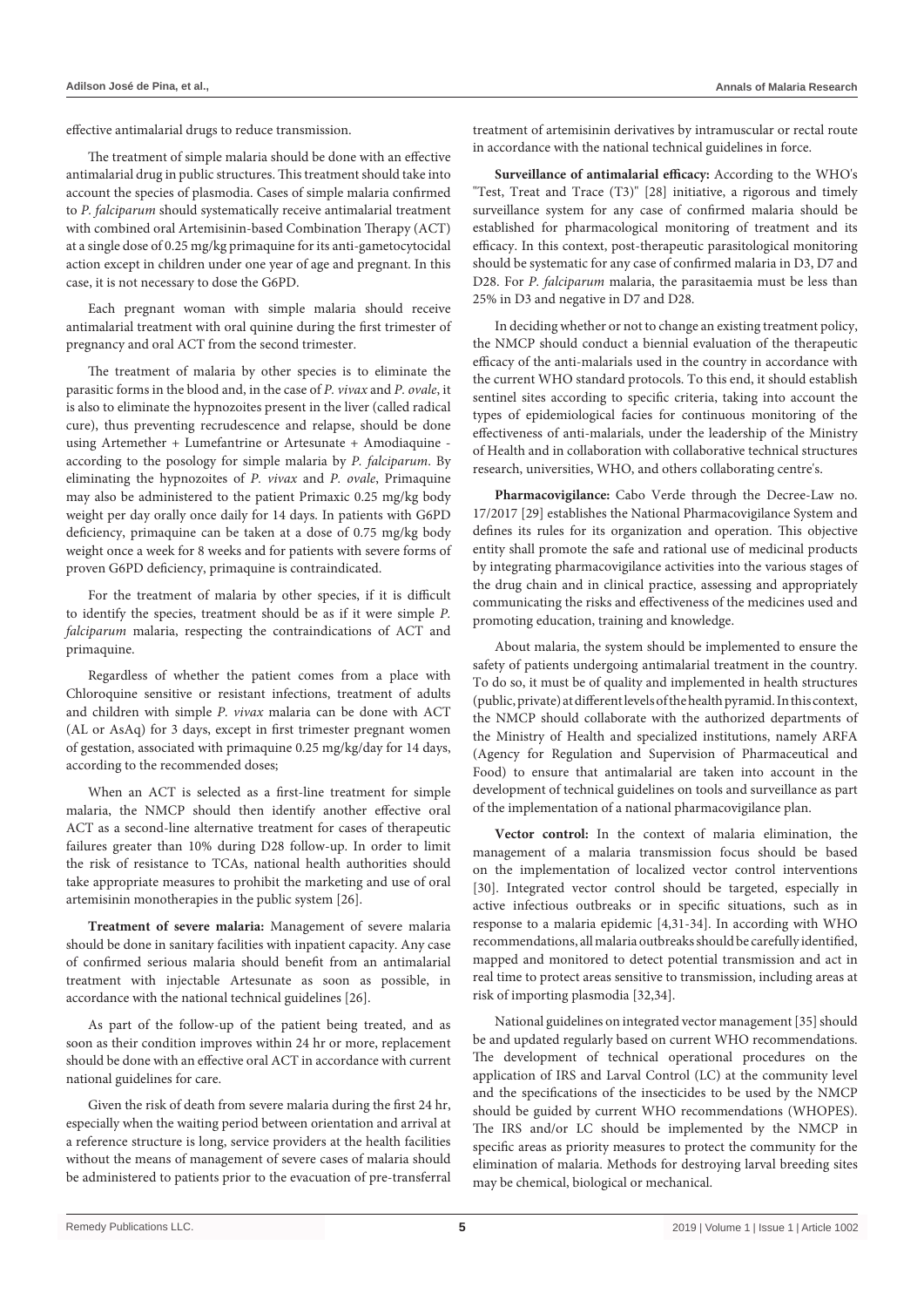effective antimalarial drugs to reduce transmission.

The treatment of simple malaria should be done with an effective antimalarial drug in public structures. This treatment should take into account the species of plasmodia. Cases of simple malaria confirmed to *P. falciparum* should systematically receive antimalarial treatment with combined oral Artemisinin-based Combination Therapy (ACT) at a single dose of 0.25 mg/kg primaquine for its anti-gametocytocidal action except in children under one year of age and pregnant. In this case, it is not necessary to dose the G6PD.

Each pregnant woman with simple malaria should receive antimalarial treatment with oral quinine during the first trimester of pregnancy and oral ACT from the second trimester.

The treatment of malaria by other species is to eliminate the parasitic forms in the blood and, in the case of *P. vivax* and *P. ovale*, it is also to eliminate the hypnozoites present in the liver (called radical cure), thus preventing recrudescence and relapse, should be done using Artemether + Lumefantrine or Artesunate + Amodiaquine according to the posology for simple malaria by *P. falciparum*. By eliminating the hypnozoites of *P. vivax* and *P. ovale*, Primaquine may also be administered to the patient Primaxic 0.25 mg/kg body weight per day orally once daily for 14 days. In patients with G6PD deficiency, primaquine can be taken at a dose of 0.75 mg/kg body weight once a week for 8 weeks and for patients with severe forms of proven G6PD deficiency, primaquine is contraindicated.

For the treatment of malaria by other species, if it is difficult to identify the species, treatment should be as if it were simple *P. falciparum* malaria, respecting the contraindications of ACT and primaquine.

Regardless of whether the patient comes from a place with Chloroquine sensitive or resistant infections, treatment of adults and children with simple *P. vivax* malaria can be done with ACT (AL or AsAq) for 3 days, except in first trimester pregnant women of gestation, associated with primaquine 0.25 mg/kg/day for 14 days, according to the recommended doses;

When an ACT is selected as a first-line treatment for simple malaria, the NMCP should then identify another effective oral ACT as a second-line alternative treatment for cases of therapeutic failures greater than 10% during D28 follow-up. In order to limit the risk of resistance to TCAs, national health authorities should take appropriate measures to prohibit the marketing and use of oral artemisinin monotherapies in the public system [26].

**Treatment of severe malaria:** Management of severe malaria should be done in sanitary facilities with inpatient capacity. Any case of confirmed serious malaria should benefit from an antimalarial treatment with injectable Artesunate as soon as possible, in accordance with the national technical guidelines [26].

As part of the follow-up of the patient being treated, and as soon as their condition improves within 24 hr or more, replacement should be done with an effective oral ACT in accordance with current national guidelines for care.

Given the risk of death from severe malaria during the first 24 hr, especially when the waiting period between orientation and arrival at a reference structure is long, service providers at the health facilities without the means of management of severe cases of malaria should be administered to patients prior to the evacuation of pre-transferral treatment of artemisinin derivatives by intramuscular or rectal route in accordance with the national technical guidelines in force.

**Surveillance of antimalarial efficacy:** According to the WHO's "Test, Treat and Trace (T3)" [28] initiative, a rigorous and timely surveillance system for any case of confirmed malaria should be established for pharmacological monitoring of treatment and its efficacy. In this context, post-therapeutic parasitological monitoring should be systematic for any case of confirmed malaria in D3, D7 and D28. For *P. falciparum* malaria, the parasitaemia must be less than 25% in D3 and negative in D7 and D28.

In deciding whether or not to change an existing treatment policy, the NMCP should conduct a biennial evaluation of the therapeutic efficacy of the anti-malarials used in the country in accordance with the current WHO standard protocols. To this end, it should establish sentinel sites according to specific criteria, taking into account the types of epidemiological facies for continuous monitoring of the effectiveness of anti-malarials, under the leadership of the Ministry of Health and in collaboration with collaborative technical structures research, universities, WHO, and others collaborating centre's.

**Pharmacovigilance:** Cabo Verde through the Decree-Law no. 17/2017 [29] establishes the National Pharmacovigilance System and defines its rules for its organization and operation. This objective entity shall promote the safe and rational use of medicinal products by integrating pharmacovigilance activities into the various stages of the drug chain and in clinical practice, assessing and appropriately communicating the risks and effectiveness of the medicines used and promoting education, training and knowledge.

About malaria, the system should be implemented to ensure the safety of patients undergoing antimalarial treatment in the country. To do so, it must be of quality and implemented in health structures (public, private) at different levels of the health pyramid. In this context, the NMCP should collaborate with the authorized departments of the Ministry of Health and specialized institutions, namely ARFA (Agency for Regulation and Supervision of Pharmaceutical and Food) to ensure that antimalarial are taken into account in the development of technical guidelines on tools and surveillance as part of the implementation of a national pharmacovigilance plan.

**Vector control:** In the context of malaria elimination, the management of a malaria transmission focus should be based on the implementation of localized vector control interventions [30]. Integrated vector control should be targeted, especially in active infectious outbreaks or in specific situations, such as in response to a malaria epidemic [4,31-34]. In according with WHO recommendations, all malaria outbreaks should be carefully identified, mapped and monitored to detect potential transmission and act in real time to protect areas sensitive to transmission, including areas at risk of importing plasmodia [32,34].

National guidelines on integrated vector management [35] should be and updated regularly based on current WHO recommendations. The development of technical operational procedures on the application of IRS and Larval Control (LC) at the community level and the specifications of the insecticides to be used by the NMCP should be guided by current WHO recommendations (WHOPES). The IRS and/or LC should be implemented by the NMCP in specific areas as priority measures to protect the community for the elimination of malaria. Methods for destroying larval breeding sites may be chemical, biological or mechanical.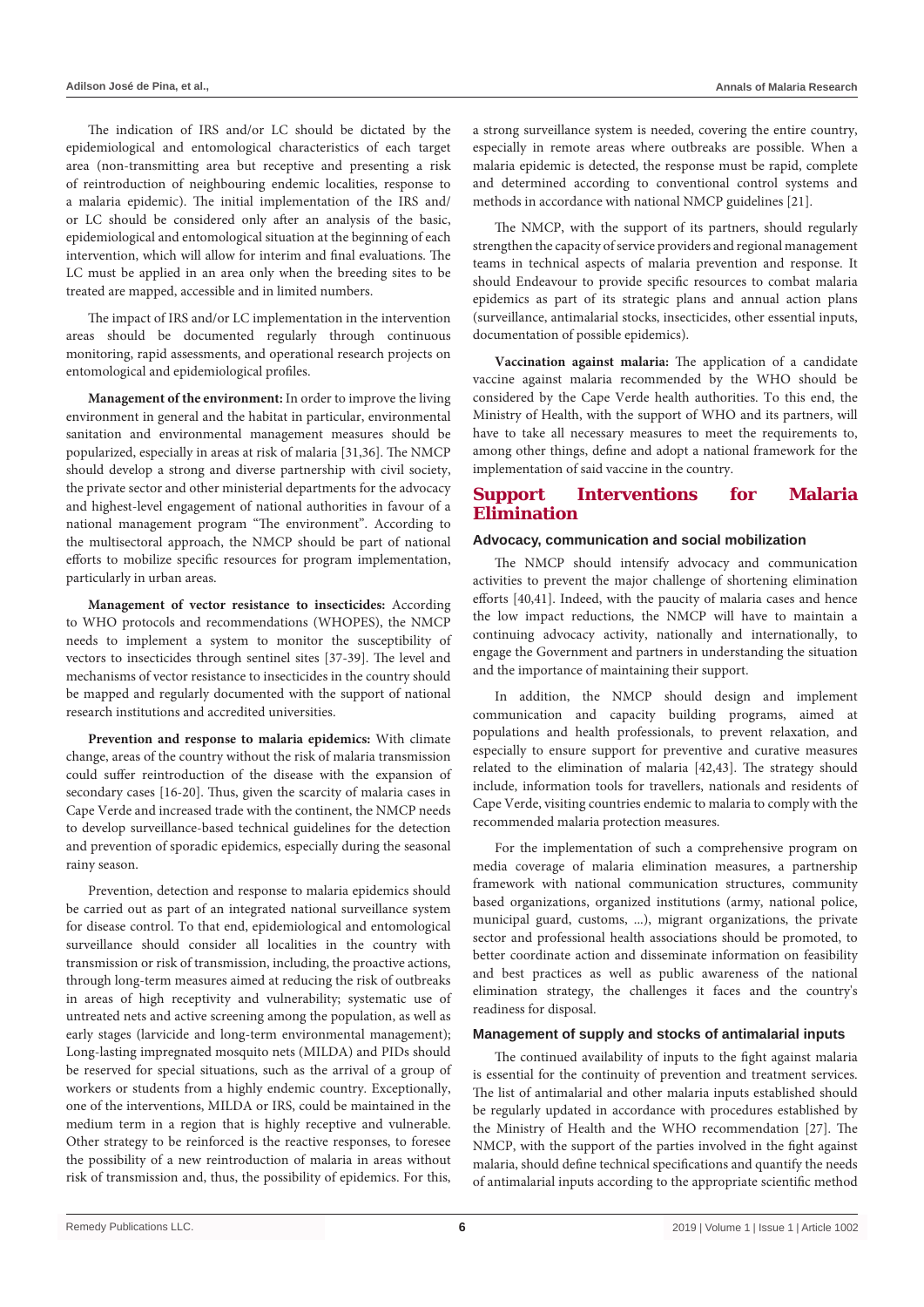The indication of IRS and/or LC should be dictated by the epidemiological and entomological characteristics of each target area (non-transmitting area but receptive and presenting a risk of reintroduction of neighbouring endemic localities, response to a malaria epidemic). The initial implementation of the IRS and/ or LC should be considered only after an analysis of the basic, epidemiological and entomological situation at the beginning of each intervention, which will allow for interim and final evaluations. The LC must be applied in an area only when the breeding sites to be treated are mapped, accessible and in limited numbers.

The impact of IRS and/or LC implementation in the intervention areas should be documented regularly through continuous monitoring, rapid assessments, and operational research projects on entomological and epidemiological profiles.

**Management of the environment:** In order to improve the living environment in general and the habitat in particular, environmental sanitation and environmental management measures should be popularized, especially in areas at risk of malaria [31,36]. The NMCP should develop a strong and diverse partnership with civil society, the private sector and other ministerial departments for the advocacy and highest-level engagement of national authorities in favour of a national management program "The environment". According to the multisectoral approach, the NMCP should be part of national efforts to mobilize specific resources for program implementation, particularly in urban areas.

**Management of vector resistance to insecticides:** According to WHO protocols and recommendations (WHOPES), the NMCP needs to implement a system to monitor the susceptibility of vectors to insecticides through sentinel sites [37-39]. The level and mechanisms of vector resistance to insecticides in the country should be mapped and regularly documented with the support of national research institutions and accredited universities.

**Prevention and response to malaria epidemics:** With climate change, areas of the country without the risk of malaria transmission could suffer reintroduction of the disease with the expansion of secondary cases [16-20]. Thus, given the scarcity of malaria cases in Cape Verde and increased trade with the continent, the NMCP needs to develop surveillance-based technical guidelines for the detection and prevention of sporadic epidemics, especially during the seasonal rainy season.

Prevention, detection and response to malaria epidemics should be carried out as part of an integrated national surveillance system for disease control. To that end, epidemiological and entomological surveillance should consider all localities in the country with transmission or risk of transmission, including, the proactive actions, through long-term measures aimed at reducing the risk of outbreaks in areas of high receptivity and vulnerability; systematic use of untreated nets and active screening among the population, as well as early stages (larvicide and long-term environmental management); Long-lasting impregnated mosquito nets (MILDA) and PIDs should be reserved for special situations, such as the arrival of a group of workers or students from a highly endemic country. Exceptionally, one of the interventions, MILDA or IRS, could be maintained in the medium term in a region that is highly receptive and vulnerable. Other strategy to be reinforced is the reactive responses, to foresee the possibility of a new reintroduction of malaria in areas without risk of transmission and, thus, the possibility of epidemics. For this, a strong surveillance system is needed, covering the entire country, especially in remote areas where outbreaks are possible. When a malaria epidemic is detected, the response must be rapid, complete and determined according to conventional control systems and methods in accordance with national NMCP guidelines [21].

The NMCP, with the support of its partners, should regularly strengthen the capacity of service providers and regional management teams in technical aspects of malaria prevention and response. It should Endeavour to provide specific resources to combat malaria epidemics as part of its strategic plans and annual action plans (surveillance, antimalarial stocks, insecticides, other essential inputs, documentation of possible epidemics).

**Vaccination against malaria:** The application of a candidate vaccine against malaria recommended by the WHO should be considered by the Cape Verde health authorities. To this end, the Ministry of Health, with the support of WHO and its partners, will have to take all necessary measures to meet the requirements to, among other things, define and adopt a national framework for the implementation of said vaccine in the country.

## **Support Interventions for Malaria Elimination**

## **Advocacy, communication and social mobilization**

The NMCP should intensify advocacy and communication activities to prevent the major challenge of shortening elimination efforts [40,41]. Indeed, with the paucity of malaria cases and hence the low impact reductions, the NMCP will have to maintain a continuing advocacy activity, nationally and internationally, to engage the Government and partners in understanding the situation and the importance of maintaining their support.

In addition, the NMCP should design and implement communication and capacity building programs, aimed at populations and health professionals, to prevent relaxation, and especially to ensure support for preventive and curative measures related to the elimination of malaria [42,43]. The strategy should include, information tools for travellers, nationals and residents of Cape Verde, visiting countries endemic to malaria to comply with the recommended malaria protection measures.

For the implementation of such a comprehensive program on media coverage of malaria elimination measures, a partnership framework with national communication structures, community based organizations, organized institutions (army, national police, municipal guard, customs, ...), migrant organizations, the private sector and professional health associations should be promoted, to better coordinate action and disseminate information on feasibility and best practices as well as public awareness of the national elimination strategy, the challenges it faces and the country's readiness for disposal.

## **Management of supply and stocks of antimalarial inputs**

The continued availability of inputs to the fight against malaria is essential for the continuity of prevention and treatment services. The list of antimalarial and other malaria inputs established should be regularly updated in accordance with procedures established by the Ministry of Health and the WHO recommendation [27]. The NMCP, with the support of the parties involved in the fight against malaria, should define technical specifications and quantify the needs of antimalarial inputs according to the appropriate scientific method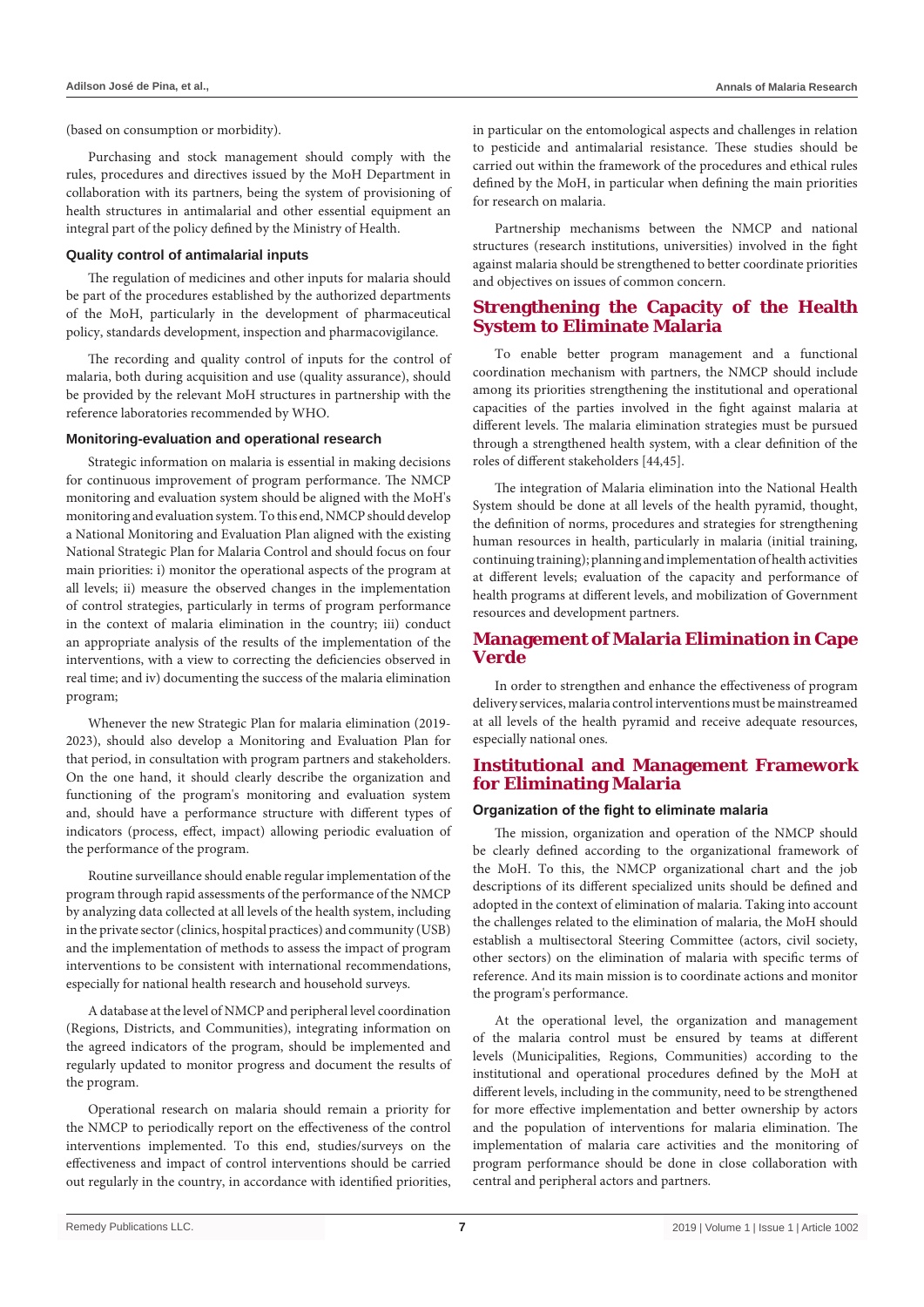(based on consumption or morbidity).

Purchasing and stock management should comply with the rules, procedures and directives issued by the MoH Department in collaboration with its partners, being the system of provisioning of health structures in antimalarial and other essential equipment an integral part of the policy defined by the Ministry of Health.

#### **Quality control of antimalarial inputs**

The regulation of medicines and other inputs for malaria should be part of the procedures established by the authorized departments of the MoH, particularly in the development of pharmaceutical policy, standards development, inspection and pharmacovigilance.

The recording and quality control of inputs for the control of malaria, both during acquisition and use (quality assurance), should be provided by the relevant MoH structures in partnership with the reference laboratories recommended by WHO.

## **Monitoring-evaluation and operational research**

Strategic information on malaria is essential in making decisions for continuous improvement of program performance. The NMCP monitoring and evaluation system should be aligned with the MoH's monitoring and evaluation system. To this end, NMCP should develop a National Monitoring and Evaluation Plan aligned with the existing National Strategic Plan for Malaria Control and should focus on four main priorities: i) monitor the operational aspects of the program at all levels; ii) measure the observed changes in the implementation of control strategies, particularly in terms of program performance in the context of malaria elimination in the country; iii) conduct an appropriate analysis of the results of the implementation of the interventions, with a view to correcting the deficiencies observed in real time; and iv) documenting the success of the malaria elimination program;

Whenever the new Strategic Plan for malaria elimination (2019- 2023), should also develop a Monitoring and Evaluation Plan for that period, in consultation with program partners and stakeholders. On the one hand, it should clearly describe the organization and functioning of the program's monitoring and evaluation system and, should have a performance structure with different types of indicators (process, effect, impact) allowing periodic evaluation of the performance of the program.

Routine surveillance should enable regular implementation of the program through rapid assessments of the performance of the NMCP by analyzing data collected at all levels of the health system, including in the private sector (clinics, hospital practices) and community (USB) and the implementation of methods to assess the impact of program interventions to be consistent with international recommendations, especially for national health research and household surveys.

A database at the level of NMCP and peripheral level coordination (Regions, Districts, and Communities), integrating information on the agreed indicators of the program, should be implemented and regularly updated to monitor progress and document the results of the program.

Operational research on malaria should remain a priority for the NMCP to periodically report on the effectiveness of the control interventions implemented. To this end, studies/surveys on the effectiveness and impact of control interventions should be carried out regularly in the country, in accordance with identified priorities, in particular on the entomological aspects and challenges in relation to pesticide and antimalarial resistance. These studies should be carried out within the framework of the procedures and ethical rules defined by the MoH, in particular when defining the main priorities for research on malaria.

Partnership mechanisms between the NMCP and national structures (research institutions, universities) involved in the fight against malaria should be strengthened to better coordinate priorities and objectives on issues of common concern.

# **Strengthening the Capacity of the Health System to Eliminate Malaria**

To enable better program management and a functional coordination mechanism with partners, the NMCP should include among its priorities strengthening the institutional and operational capacities of the parties involved in the fight against malaria at different levels. The malaria elimination strategies must be pursued through a strengthened health system, with a clear definition of the roles of different stakeholders [44,45].

The integration of Malaria elimination into the National Health System should be done at all levels of the health pyramid, thought, the definition of norms, procedures and strategies for strengthening human resources in health, particularly in malaria (initial training, continuing training); planning and implementation of health activities at different levels; evaluation of the capacity and performance of health programs at different levels, and mobilization of Government resources and development partners.

# **Management of Malaria Elimination in Cape Verde**

In order to strengthen and enhance the effectiveness of program delivery services, malaria control interventions must be mainstreamed at all levels of the health pyramid and receive adequate resources, especially national ones.

## **Institutional and Management Framework for Eliminating Malaria**

## **Organization of the fight to eliminate malaria**

The mission, organization and operation of the NMCP should be clearly defined according to the organizational framework of the MoH. To this, the NMCP organizational chart and the job descriptions of its different specialized units should be defined and adopted in the context of elimination of malaria. Taking into account the challenges related to the elimination of malaria, the MoH should establish a multisectoral Steering Committee (actors, civil society, other sectors) on the elimination of malaria with specific terms of reference. And its main mission is to coordinate actions and monitor the program's performance.

At the operational level, the organization and management of the malaria control must be ensured by teams at different levels (Municipalities, Regions, Communities) according to the institutional and operational procedures defined by the MoH at different levels, including in the community, need to be strengthened for more effective implementation and better ownership by actors and the population of interventions for malaria elimination. The implementation of malaria care activities and the monitoring of program performance should be done in close collaboration with central and peripheral actors and partners.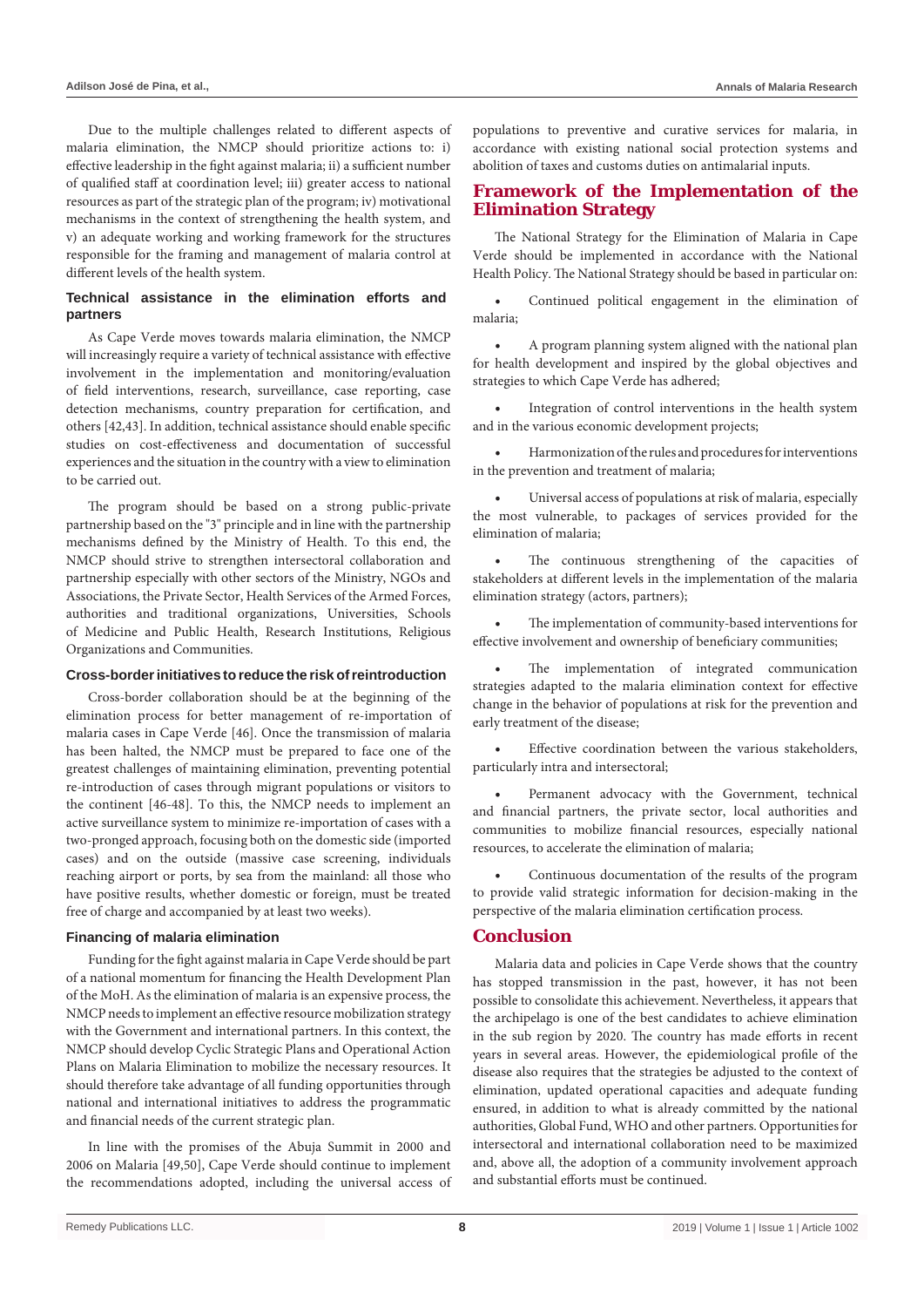Due to the multiple challenges related to different aspects of malaria elimination, the NMCP should prioritize actions to: i) effective leadership in the fight against malaria; ii) a sufficient number of qualified staff at coordination level; iii) greater access to national resources as part of the strategic plan of the program; iv) motivational mechanisms in the context of strengthening the health system, and v) an adequate working and working framework for the structures responsible for the framing and management of malaria control at different levels of the health system.

## **Technical assistance in the elimination efforts and partners**

As Cape Verde moves towards malaria elimination, the NMCP will increasingly require a variety of technical assistance with effective involvement in the implementation and monitoring/evaluation of field interventions, research, surveillance, case reporting, case detection mechanisms, country preparation for certification, and others [42,43]. In addition, technical assistance should enable specific studies on cost-effectiveness and documentation of successful experiences and the situation in the country with a view to elimination to be carried out.

The program should be based on a strong public-private partnership based on the "3" principle and in line with the partnership mechanisms defined by the Ministry of Health. To this end, the NMCP should strive to strengthen intersectoral collaboration and partnership especially with other sectors of the Ministry, NGOs and Associations, the Private Sector, Health Services of the Armed Forces, authorities and traditional organizations, Universities, Schools of Medicine and Public Health, Research Institutions, Religious Organizations and Communities.

## **Cross-border initiatives to reduce the risk of reintroduction**

Cross-border collaboration should be at the beginning of the elimination process for better management of re-importation of malaria cases in Cape Verde [46]. Once the transmission of malaria has been halted, the NMCP must be prepared to face one of the greatest challenges of maintaining elimination, preventing potential re-introduction of cases through migrant populations or visitors to the continent [46-48]. To this, the NMCP needs to implement an active surveillance system to minimize re-importation of cases with a two-pronged approach, focusing both on the domestic side (imported cases) and on the outside (massive case screening, individuals reaching airport or ports, by sea from the mainland: all those who have positive results, whether domestic or foreign, must be treated free of charge and accompanied by at least two weeks).

## **Financing of malaria elimination**

Funding for the fight against malaria in Cape Verde should be part of a national momentum for financing the Health Development Plan of the MoH. As the elimination of malaria is an expensive process, the NMCP needs to implement an effective resource mobilization strategy with the Government and international partners. In this context, the NMCP should develop Cyclic Strategic Plans and Operational Action Plans on Malaria Elimination to mobilize the necessary resources. It should therefore take advantage of all funding opportunities through national and international initiatives to address the programmatic and financial needs of the current strategic plan.

In line with the promises of the Abuja Summit in 2000 and 2006 on Malaria [49,50], Cape Verde should continue to implement the recommendations adopted, including the universal access of populations to preventive and curative services for malaria, in accordance with existing national social protection systems and abolition of taxes and customs duties on antimalarial inputs.

## **Framework of the Implementation of the Elimination Strategy**

The National Strategy for the Elimination of Malaria in Cape Verde should be implemented in accordance with the National Health Policy. The National Strategy should be based in particular on:

Continued political engagement in the elimination of malaria;

A program planning system aligned with the national plan for health development and inspired by the global objectives and strategies to which Cape Verde has adhered;

Integration of control interventions in the health system and in the various economic development projects;

Harmonization of the rules and procedures for interventions in the prevention and treatment of malaria;

Universal access of populations at risk of malaria, especially the most vulnerable, to packages of services provided for the elimination of malaria;

The continuous strengthening of the capacities of stakeholders at different levels in the implementation of the malaria elimination strategy (actors, partners);

The implementation of community-based interventions for effective involvement and ownership of beneficiary communities;

The implementation of integrated communication strategies adapted to the malaria elimination context for effective change in the behavior of populations at risk for the prevention and early treatment of the disease;

Effective coordination between the various stakeholders, particularly intra and intersectoral;

Permanent advocacy with the Government, technical and financial partners, the private sector, local authorities and communities to mobilize financial resources, especially national resources, to accelerate the elimination of malaria;

Continuous documentation of the results of the program to provide valid strategic information for decision-making in the perspective of the malaria elimination certification process.

#### **Conclusion**

Malaria data and policies in Cape Verde shows that the country has stopped transmission in the past, however, it has not been possible to consolidate this achievement. Nevertheless, it appears that the archipelago is one of the best candidates to achieve elimination in the sub region by 2020. The country has made efforts in recent years in several areas. However, the epidemiological profile of the disease also requires that the strategies be adjusted to the context of elimination, updated operational capacities and adequate funding ensured, in addition to what is already committed by the national authorities, Global Fund, WHO and other partners. Opportunities for intersectoral and international collaboration need to be maximized and, above all, the adoption of a community involvement approach and substantial efforts must be continued.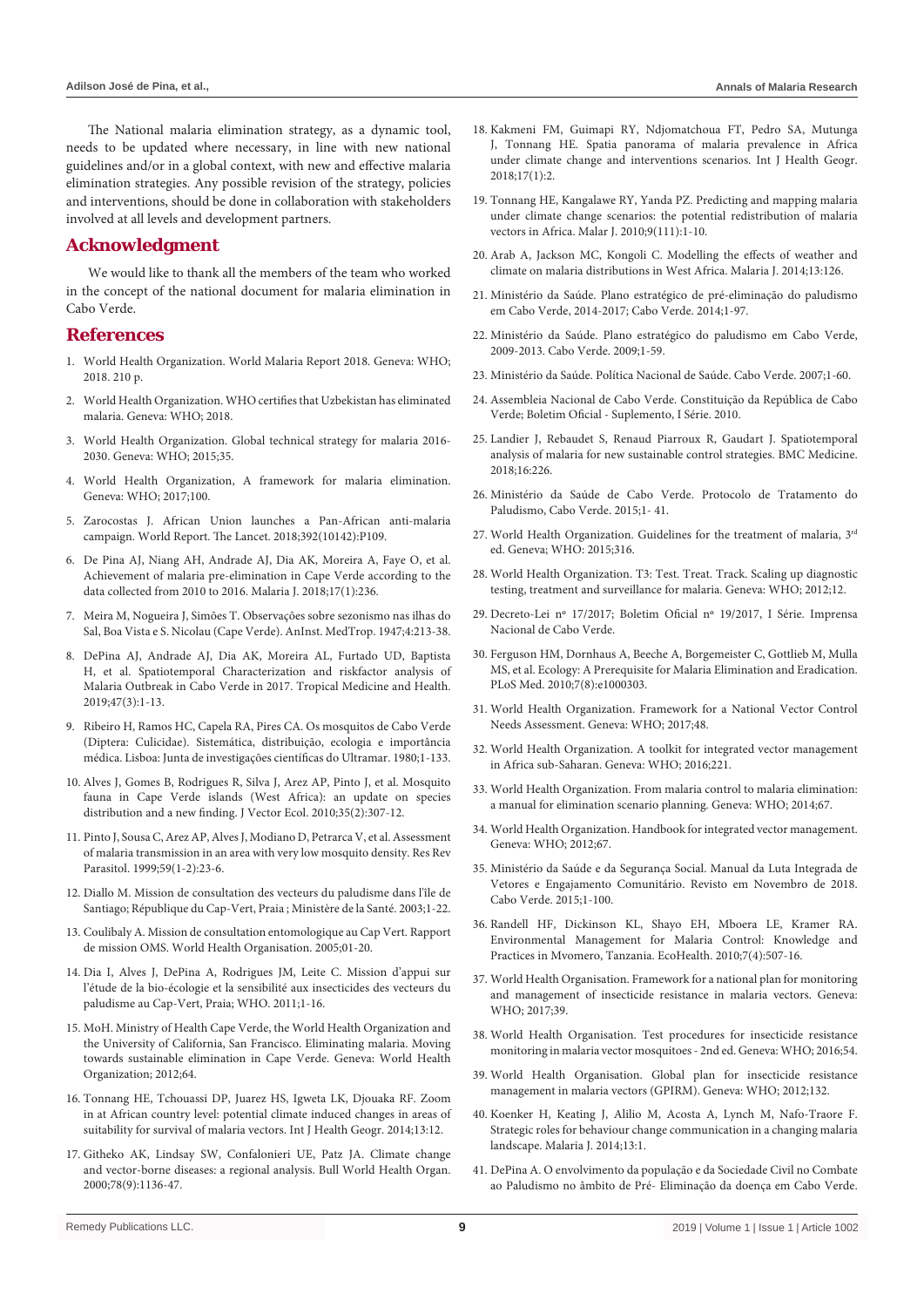The National malaria elimination strategy, as a dynamic tool, needs to be updated where necessary, in line with new national guidelines and/or in a global context, with new and effective malaria elimination strategies. Any possible revision of the strategy, policies and interventions, should be done in collaboration with stakeholders involved at all levels and development partners.

# **Acknowledgment**

We would like to thank all the members of the team who worked in the concept of the national document for malaria elimination in Cabo Verde.

## **References**

- 1. W[orld Health Organization. World Malaria Report 2018. Geneva: WHO;](https://www.who.int/malaria/publications/world-malaria-report-2018/report/en/)  [2018. 210 p.](https://www.who.int/malaria/publications/world-malaria-report-2018/report/en/)
- 2. W[orld Health Organization. WHO certifies that Uzbekistan has eliminated](https://www.who.int/malaria/news/2018/uzbekistan-certified-malaria-free/en/)  [malaria. Geneva: WHO; 2018.](https://www.who.int/malaria/news/2018/uzbekistan-certified-malaria-free/en/)
- 3. W[orld Health Organization. Global technical strategy for malaria 2016-](https://www.who.int/malaria/publications/atoz/9789241564991/en/) [2030. Geneva: WHO; 2015;35.](https://www.who.int/malaria/publications/atoz/9789241564991/en/)
- 4. W[orld Health Organization, A framework for malaria elimination.](https://www.who.int/malaria/publications/atoz/9789241511988/en/)  [Geneva: WHO; 2017;100.](https://www.who.int/malaria/publications/atoz/9789241511988/en/)
- 5. Z[arocostas J. African Union launches a Pan-African anti-malaria](https://www.thelancet.com/journals/lancet/article/PIIS0140-6736(18)31606-4/fulltext?rss=yes)  [campaign. World Report. The Lancet. 2018;392\(10142\):P109.](https://www.thelancet.com/journals/lancet/article/PIIS0140-6736(18)31606-4/fulltext?rss=yes)
- 6. D[e Pina AJ, Niang AH, Andrade AJ, Dia AK, Moreira A, Faye O, et al.](https://www.ncbi.nlm.nih.gov/pubmed/29914468)  [Achievement of malaria pre-elimination in Cape Verde according to the](https://www.ncbi.nlm.nih.gov/pubmed/29914468)  [data collected from 2010 to 2016. Malaria J. 2018;17\(1\):236.](https://www.ncbi.nlm.nih.gov/pubmed/29914468)
- 7. M[eira M, Nogueira J, Simões T. Observações sobre sezonismo nas ilhas do](https://anaisihmt.com/index.php/ihmt/issue/view/13/1943-1966)  [Sal, Boa Vista e S. Nicolau \(Cape Verde\). AnInst. MedTrop. 1947;4:213-38.](https://anaisihmt.com/index.php/ihmt/issue/view/13/1943-1966)
- 8. D[ePina AJ, Andrade AJ, Dia AK, Moreira AL, Furtado UD, Baptista](https://tropmedhealth.biomedcentral.com/track/pdf/10.1186/s41182-018-0127-4)  [H, et al. Spatiotemporal Characterization and riskfactor analysis of](https://tropmedhealth.biomedcentral.com/track/pdf/10.1186/s41182-018-0127-4)  [Malaria Outbreak in Cabo Verde in 2017. Tropical Medicine and Health.](https://tropmedhealth.biomedcentral.com/track/pdf/10.1186/s41182-018-0127-4)  [2019;47\(3\):1-13.](https://tropmedhealth.biomedcentral.com/track/pdf/10.1186/s41182-018-0127-4)
- 9. R[ibeiro H, Ramos HC, Capela RA, Pires CA. Os mosquitos de Cabo Verde](https://www.worldcat.org/title/mosquitos-de-cabo-verde-diptera-culicidae-sistematica-distribuicao-bioecologia-e-importancia-medica/oclc/8207203#borrow)  [\(Diptera: Culicidae\). Sistemática, distribuição, ecologia e importância](https://www.worldcat.org/title/mosquitos-de-cabo-verde-diptera-culicidae-sistematica-distribuicao-bioecologia-e-importancia-medica/oclc/8207203#borrow)  [médica. Lisboa: Junta de investigações científicas do Ultramar. 1980;1-133.](https://www.worldcat.org/title/mosquitos-de-cabo-verde-diptera-culicidae-sistematica-distribuicao-bioecologia-e-importancia-medica/oclc/8207203#borrow)
- 10. [Alves J, Gomes B, Rodrigues R, Silva J, Arez AP, Pinto J, et al. Mosquito](https://www.ncbi.nlm.nih.gov/pubmed/21175936)  [fauna in Cape Verde islands \(West Africa\): an update on species](https://www.ncbi.nlm.nih.gov/pubmed/21175936)  [distribution and a new finding. J Vector Ecol. 2010;35\(2\):307-12.](https://www.ncbi.nlm.nih.gov/pubmed/21175936)
- 11. [Pinto J, Sousa C, Arez AP, Alves J, Modiano D, Petrarca V, et al. Assessment](https://core.ac.uk/download/pdf/38680401.pdf)  [of malaria transmission in an area with very low mosquito density. Res Rev](https://core.ac.uk/download/pdf/38680401.pdf)  [Parasitol. 1999;59\(1-2\):23-6.](https://core.ac.uk/download/pdf/38680401.pdf)
- 12. D[iallo M. Mission de consultation des vecteurs du paludisme dans l'île de](https://scholar.google.com/scholar_lookup?title=Mission de consultation entomologique sur les vecteurs du paludisme dans l%27%C3%AEle de Santiago %28R%C3%A9publique du Cap-Vert%29&author=M. Diallo&pages=20pp&publication_year)  [Santiago; République du Cap-Vert, Praia ; Ministère de la Santé. 2003;1-22.](https://scholar.google.com/scholar_lookup?title=Mission de consultation entomologique sur les vecteurs du paludisme dans l%27%C3%AEle de Santiago %28R%C3%A9publique du Cap-Vert%29&author=M. Diallo&pages=20pp&publication_year)
- 13. Coulibaly A. Mission de consultation entomologique au Cap Vert. Rapport de mission OMS. World Health Organisation. 2005;01-20.
- 14. Dia I, Alves J, DePina A, Rodrigues JM, Leite C. Mission d'appui sur l'étude de la bio-écologie et la sensibilité aux insecticides des vecteurs du paludisme au Cap-Vert, Praia; WHO. 2011;1-16.
- 15. M[oH. Ministry of Health Cape Verde, the World Health Organization and](https://www.who.int/malaria/publications/atoz/9789241504386/en/)  [the University of California, San Francisco. Eliminating malaria. Moving](https://www.who.int/malaria/publications/atoz/9789241504386/en/)  [towards sustainable elimination in Cape Verde. Geneva: World Health](https://www.who.int/malaria/publications/atoz/9789241504386/en/)  [Organization; 2012;64.](https://www.who.int/malaria/publications/atoz/9789241504386/en/)
- 16. T[onnang HE, Tchouassi DP, Juarez HS, Igweta LK, Djouaka RF. Zoom](https://www.ncbi.nlm.nih.gov/pmc/articles/PMC4022448/)  [in at African country level: potential climate induced changes in areas of](https://www.ncbi.nlm.nih.gov/pmc/articles/PMC4022448/)  [suitability for survival of malaria vectors. Int J Health Geogr. 2014;13:12.](https://www.ncbi.nlm.nih.gov/pmc/articles/PMC4022448/)
- 17. G[itheko AK, Lindsay SW, Confalonieri UE, Patz JA. Climate change](https://www.ncbi.nlm.nih.gov/pubmed/11019462)  [and vector-borne diseases: a regional analysis. Bull World Health Organ.](https://www.ncbi.nlm.nih.gov/pubmed/11019462)  [2000;78\(9\):1136-47.](https://www.ncbi.nlm.nih.gov/pubmed/11019462)
- 18. [Kakmeni FM, Guimapi RY, Ndjomatchoua FT, Pedro SA, Mutunga](https://www.ncbi.nlm.nih.gov/pubmed/29338736)  [J, Tonnang HE. Spatia panorama of malaria prevalence in Africa](https://www.ncbi.nlm.nih.gov/pubmed/29338736)  [under climate change and interventions scenarios. Int J Health Geogr.](https://www.ncbi.nlm.nih.gov/pubmed/29338736)  [2018;17\(1\):2.](https://www.ncbi.nlm.nih.gov/pubmed/29338736)
- 19. T[onnang HE, Kangalawe RY, Yanda PZ. Predicting and mapping malaria](https://malariajournal.biomedcentral.com/track/pdf/10.1186/1475-2875-9-111)  [under climate change scenarios: the potential redistribution of malaria](https://malariajournal.biomedcentral.com/track/pdf/10.1186/1475-2875-9-111)  [vectors in Africa. Malar J. 2010;9\(111\):1-10.](https://malariajournal.biomedcentral.com/track/pdf/10.1186/1475-2875-9-111)
- 20. A[rab A, Jackson MC, Kongoli C. Modelling the effects of weather and](https://malariajournal.biomedcentral.com/articles/10.1186/1475-2875-13-126)  [climate on malaria distributions in West Africa. Malaria J. 2014;13:126.](https://malariajournal.biomedcentral.com/articles/10.1186/1475-2875-13-126)
- 21. Ministério da Saúde. Plano estratégico de pré-eliminação do paludismo em Cabo Verde, 2014-2017; Cabo Verde. 2014;1-97.
- 22. Ministério da Saúde. Plano estratégico do paludismo em Cabo Verde, 2009-2013. Cabo Verde. 2009;1-59.
- 23. Ministério da Saúde. Política Nacional de Saúde. Cabo Verde. 2007;1-60.
- 24. Assembleia Nacional de Cabo Verde. Constituição da República de Cabo Verde; Boletim Oficial - Suplemento, I Série. 2010.
- 25. [Landier J, Rebaudet S, Renaud Piarroux R, Gaudart J. Spatiotemporal](https://bmcmedicine.biomedcentral.com/articles/10.1186/s12916-018-1224-2)  [analysis of malaria for new sustainable control strategies. BMC Medicine.](https://bmcmedicine.biomedcentral.com/articles/10.1186/s12916-018-1224-2)  [2018;16:226.](https://bmcmedicine.biomedcentral.com/articles/10.1186/s12916-018-1224-2)
- 26. Ministério da Saúde de Cabo Verde. Protocolo de Tratamento do Paludismo, Cabo Verde. 2015;1- 41.
- 27. W[orld Health Organization. Guidelines for the treatment of malaria, 3rd](https://www.who.int/malaria/publications/atoz/9789241549127/en/) [ed. Geneva; WHO: 2015;316.](https://www.who.int/malaria/publications/atoz/9789241549127/en/)
- 28. W[orld Health Organization. T3: Test. Treat. Track. Scaling up diagnostic](https://www.who.int/malaria/publications/atoz/t3_brochure/en/)  [testing, treatment and surveillance for malaria. Geneva: WHO; 2012;12.](https://www.who.int/malaria/publications/atoz/t3_brochure/en/)
- 29. Decreto-Lei nº 17/2017; Boletim Oficial nº 19/2017, I Série. Imprensa Nacional de Cabo Verde.
- 30. [Ferguson HM, Dornhaus A, Beeche A, Borgemeister C, Gottlieb M, Mulla](https://www.ncbi.nlm.nih.gov/pubmed/20689800)  [MS, et al. Ecology: A Prerequisite for Malaria Elimination and Eradication.](https://www.ncbi.nlm.nih.gov/pubmed/20689800)  [PLoS Med. 2010;7\(8\):e1000303.](https://www.ncbi.nlm.nih.gov/pubmed/20689800)
- 31. W[orld Health Organization. Framework for a National Vector Control](https://www.who.int/vector-control/publications/framework-VCNA/en/)  [Needs Assessment. Geneva: WHO; 2017;48.](https://www.who.int/vector-control/publications/framework-VCNA/en/)
- 32. W[orld Health Organization. A toolkit for integrated vector management](https://www.who.int/neglected_diseases/resources/9789241549653/en/)  [in Africa sub-Saharan. Geneva: WHO; 2016;221.](https://www.who.int/neglected_diseases/resources/9789241549653/en/)
- 33. W[orld Health Organization. From malaria control to malaria elimination:](https://www.who.int/malaria/publications/atoz/9789241507028/en/)  [a manual for elimination scenario planning. Geneva: WHO; 2014;67.](https://www.who.int/malaria/publications/atoz/9789241507028/en/)
- 34. W[orld Health Organization. Handbook for integrated vector management.](https://apps.who.int/iris/bitstream/handle/10665/44768/9789241502801_eng.pdf?sequence=1)  [Geneva: WHO; 2012;67.](https://apps.who.int/iris/bitstream/handle/10665/44768/9789241502801_eng.pdf?sequence=1)
- 35. Ministério da Saúde e da Segurança Social. Manual da Luta Integrada de Vetores e Engajamento Comunitário. Revisto em Novembro de 2018. Cabo Verde. 2015;1-100.
- 36. [Randell HF, Dickinson KL, Shayo EH, Mboera LE, Kramer RA.](https://www.ncbi.nlm.nih.gov/pubmed/20694503)  [Environmental Management for Malaria Control: Knowledge and](https://www.ncbi.nlm.nih.gov/pubmed/20694503)  [Practices in Mvomero, Tanzania. EcoHealth. 2010;7\(4\):507-16.](https://www.ncbi.nlm.nih.gov/pubmed/20694503)
- 37. W[orld Health Organisation. Framework for a national plan for monitoring](https://www.who.int/malaria/publications/atoz/9789241512138/en/)  [and management of insecticide resistance in malaria vectors. Geneva:](https://www.who.int/malaria/publications/atoz/9789241512138/en/)  [WHO; 2017;39.](https://www.who.int/malaria/publications/atoz/9789241512138/en/)
- 38. W[orld Health Organisation. Test procedures for insecticide resistance](https://apps.who.int/iris/bitstream/handle/10665/250677/9789241511575-eng.pdf?sequence=1)  [monitoring in malaria vector mosquitoes - 2nd ed. Geneva: WHO; 2016;54.](https://apps.who.int/iris/bitstream/handle/10665/250677/9789241511575-eng.pdf?sequence=1)
- 39. W[orld Health Organisation. Global plan for insecticide resistance](https://www.who.int/malaria/publications/atoz/gpirm/en/)  [management in malaria vectors \(GPIRM\). Geneva: WHO; 2012;132.](https://www.who.int/malaria/publications/atoz/gpirm/en/)
- 40. [Koenker H, Keating J, Alilio M, Acosta A, Lynch M, Nafo-Traore F.](https://www.ncbi.nlm.nih.gov/pubmed/24383426)  [Strategic roles for behaviour change communication in a changing malaria](https://www.ncbi.nlm.nih.gov/pubmed/24383426)  [landscape. Malaria J. 2014;13:1.](https://www.ncbi.nlm.nih.gov/pubmed/24383426)
- 41. D[ePina A. O envolvimento da população e da Sociedade Civil no Combate](https://www.researchgate.net/publication/323699276_O_envolvimento_da_populacao_e_da_Sociedade_Civil_no_Combate_ao_Paludismo_no_ambito_de_Pre-Eliminacao)  [ao Paludismo no âmbito de Pré- Eliminação da doença em Cabo Verde.](https://www.researchgate.net/publication/323699276_O_envolvimento_da_populacao_e_da_Sociedade_Civil_no_Combate_ao_Paludismo_no_ambito_de_Pre-Eliminacao)